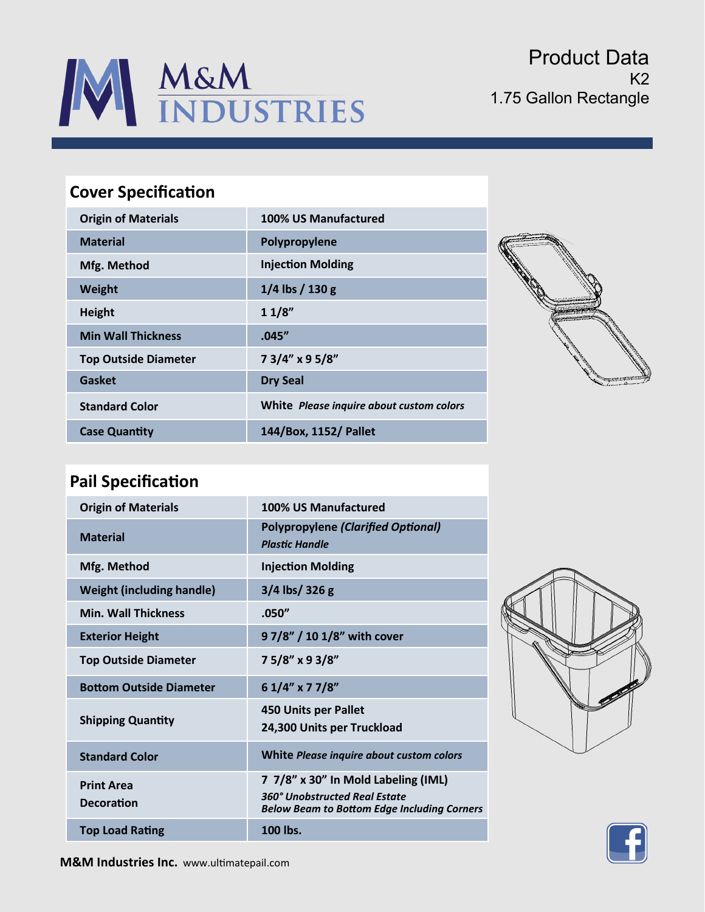

Product Data  $K<sub>2</sub>$ 1.75 Gallon Rectangle

## **Cover Specification**

| <b>Origin of Materials</b>  | 100% US Manufactured                     |
|-----------------------------|------------------------------------------|
| <b>Material</b>             | Polypropylene                            |
| Mfg. Method                 | <b>Injection Molding</b>                 |
| Weight                      | $1/4$ lbs $/ 130$ g                      |
| <b>Height</b>               | 11/8"                                    |
| <b>Min Wall Thickness</b>   | .045''                                   |
| <b>Top Outside Diameter</b> | 73/4" x 95/8"                            |
| Gasket                      | <b>Dry Seal</b>                          |
| <b>Standard Color</b>       | White Please inquire about custom colors |
| <b>Case Quantity</b>        | 144/Box, 1152/ Pallet                    |



## **Pail Specification**

| <b>Origin of Materials</b>             | 100% US Manufactured                                                                                                       |
|----------------------------------------|----------------------------------------------------------------------------------------------------------------------------|
| <b>Material</b>                        | <b>Polypropylene (Clarified Optional)</b><br><b>Plastic Handle</b>                                                         |
| Mfg. Method                            | <b>Injection Molding</b>                                                                                                   |
| <b>Weight (including handle)</b>       | $3/4$ lbs/ 326 g                                                                                                           |
| <b>Min. Wall Thickness</b>             | .050"                                                                                                                      |
| <b>Exterior Height</b>                 | 9 7/8" / 10 1/8" with cover                                                                                                |
| <b>Top Outside Diameter</b>            | 75/8" x 93/8"                                                                                                              |
| <b>Bottom Outside Diameter</b>         | 6 1/4" x 7 7/8"                                                                                                            |
| <b>Shipping Quantity</b>               | <b>450 Units per Pallet</b><br>24,300 Units per Truckload                                                                  |
| <b>Standard Color</b>                  | White Please inquire about custom colors                                                                                   |
| <b>Print Area</b><br><b>Decoration</b> | 7 7/8" x 30" In Mold Labeling (IML)<br>360° Unobstructed Real Estate<br><b>Below Beam to Bottom Edge Including Corners</b> |
| <b>Top Load Rating</b>                 | 100 lbs.                                                                                                                   |





**M&M Industries Inc.** www.ultimatepail.com